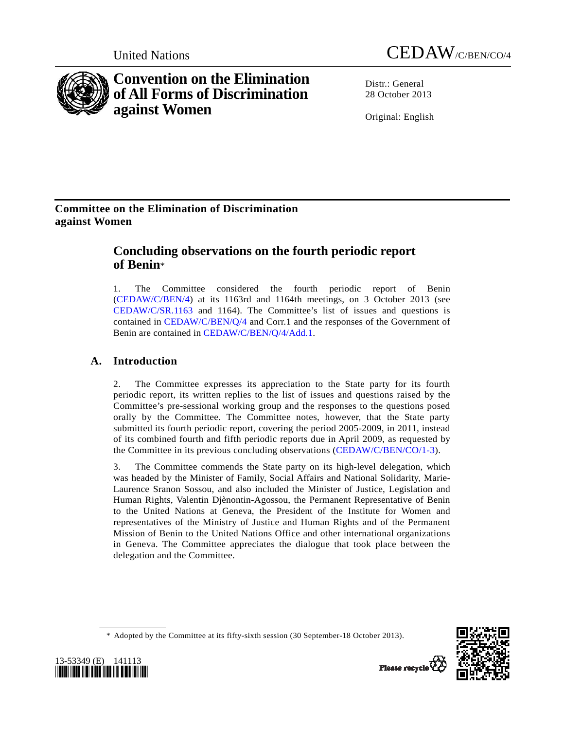

# **Convention on the Elimination of All Forms of Discrimination against Women**



Distr · General 28 October 2013

Original: English

# **Committee on the Elimination of Discrimination against Women**

# **Concluding observations on the fourth periodic report of Benin**\*

1. The Committee considered the fourth periodic report of Benin ([CEDAW/C/BEN/4](http://undocs.org/CEDAW/C/BEN/4)) at its 1163rd and 1164th meetings, on 3 October 2013 (see [CEDAW/C/SR.1163](http://undocs.org/CEDAW/C/SR.1163) and 1164). The Committee's list of issues and questions is contained in [CEDAW/C/BEN/Q/4](http://undocs.org/CEDAW/C/BEN/Q/4) and Corr.1 and the responses of the Government of Benin are contained in [CEDAW/C/BEN/Q/4/Add.1.](http://undocs.org/CEDAW/C/BEN/Q/4/Add.1)

# **A. Introduction**

2. The Committee expresses its appreciation to the State party for its fourth periodic report, its written replies to the list of issues and questions raised by the Committee's pre-sessional working group and the responses to the questions posed orally by the Committee. The Committee notes, however, that the State party submitted its fourth periodic report, covering the period 2005-2009, in 2011, instead of its combined fourth and fifth periodic reports due in April 2009, as requested by the Committee in its previous concluding observations ([CEDAW/C/BEN/CO/1-3](http://undocs.org/CEDAW/C/BEN/CO/1)).

3. The Committee commends the State party on its high-level delegation, which was headed by the Minister of Family, Social Affairs and National Solidarity, Marie-Laurence Sranon Sossou, and also included the Minister of Justice, Legislation and Human Rights, Valentin Djènontin-Agossou, the Permanent Representative of Benin to the United Nations at Geneva, the President of the Institute for Women and representatives of the Ministry of Justice and Human Rights and of the Permanent Mission of Benin to the United Nations Office and other international organizations in Geneva. The Committee appreciates the dialogue that took place between the delegation and the Committee.





 <sup>\*</sup> Adopted by the Committee at its fifty-sixth session (30 September-18 October 2013).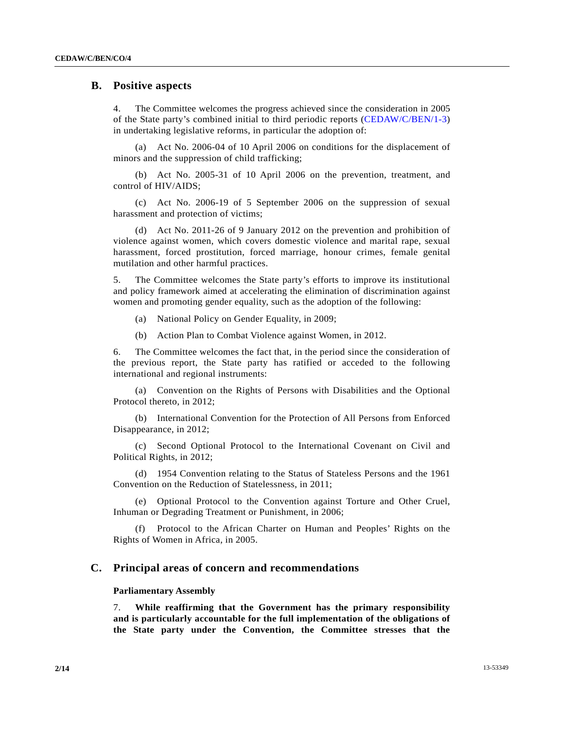## **B. Positive aspects**

4. The Committee welcomes the progress achieved since the consideration in 2005 of the State party's combined initial to third periodic reports ([CEDAW/C/BEN/1-3](http://undocs.org/CEDAW/C/BEN/1)) in undertaking legislative reforms, in particular the adoption of:

 (a) Act No. 2006-04 of 10 April 2006 on conditions for the displacement of minors and the suppression of child trafficking;

 (b) Act No. 2005-31 of 10 April 2006 on the prevention, treatment, and control of HIV/AIDS;

 (c) Act No. 2006-19 of 5 September 2006 on the suppression of sexual harassment and protection of victims;

 (d) Act No. 2011-26 of 9 January 2012 on the prevention and prohibition of violence against women, which covers domestic violence and marital rape, sexual harassment, forced prostitution, forced marriage, honour crimes, female genital mutilation and other harmful practices.

5. The Committee welcomes the State party's efforts to improve its institutional and policy framework aimed at accelerating the elimination of discrimination against women and promoting gender equality, such as the adoption of the following:

- (a) National Policy on Gender Equality, in 2009;
- (b) Action Plan to Combat Violence against Women, in 2012.

6. The Committee welcomes the fact that, in the period since the consideration of the previous report, the State party has ratified or acceded to the following international and regional instruments:

 (a) Convention on the Rights of Persons with Disabilities and the Optional Protocol thereto, in 2012;

 (b) International Convention for the Protection of All Persons from Enforced Disappearance, in 2012;

 (c) Second Optional Protocol to the International Covenant on Civil and Political Rights, in 2012;

 (d) 1954 Convention relating to the Status of Stateless Persons and the 1961 Convention on the Reduction of Statelessness, in 2011;

 (e) Optional Protocol to the Convention against Torture and Other Cruel, Inhuman or Degrading Treatment or Punishment, in 2006;

 (f) Protocol to the African Charter on Human and Peoples' Rights on the Rights of Women in Africa, in 2005.

# **C. Principal areas of concern and recommendations**

## **Parliamentary Assembly**

7. **While reaffirming that the Government has the primary responsibility and is particularly accountable for the full implementation of the obligations of the State party under the Convention, the Committee stresses that the**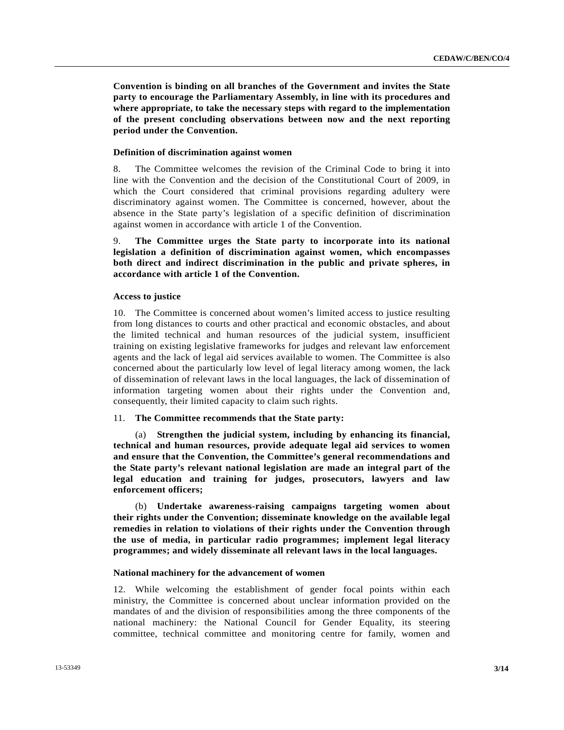**Convention is binding on all branches of the Government and invites the State party to encourage the Parliamentary Assembly, in line with its procedures and where appropriate, to take the necessary steps with regard to the implementation of the present concluding observations between now and the next reporting period under the Convention.**

### **Definition of discrimination against women**

8. The Committee welcomes the revision of the Criminal Code to bring it into line with the Convention and the decision of the Constitutional Court of 2009, in which the Court considered that criminal provisions regarding adultery were discriminatory against women. The Committee is concerned, however, about the absence in the State party's legislation of a specific definition of discrimination against women in accordance with article 1 of the Convention.

9. **The Committee urges the State party to incorporate into its national legislation a definition of discrimination against women, which encompasses both direct and indirect discrimination in the public and private spheres, in accordance with article 1 of the Convention.** 

#### **Access to justice**

10. The Committee is concerned about women's limited access to justice resulting from long distances to courts and other practical and economic obstacles, and about the limited technical and human resources of the judicial system, insufficient training on existing legislative frameworks for judges and relevant law enforcement agents and the lack of legal aid services available to women. The Committee is also concerned about the particularly low level of legal literacy among women, the lack of dissemination of relevant laws in the local languages, the lack of dissemination of information targeting women about their rights under the Convention and, consequently, their limited capacity to claim such rights.

#### 11. **The Committee recommends that the State party:**

 (a) **Strengthen the judicial system, including by enhancing its financial, technical and human resources, provide adequate legal aid services to women and ensure that the Convention, the Committee's general recommendations and the State party's relevant national legislation are made an integral part of the legal education and training for judges, prosecutors, lawyers and law enforcement officers;** 

 (b) **Undertake awareness-raising campaigns targeting women about their rights under the Convention; disseminate knowledge on the available legal remedies in relation to violations of their rights under the Convention through the use of media, in particular radio programmes; implement legal literacy programmes; and widely disseminate all relevant laws in the local languages.** 

## **National machinery for the advancement of women**

12. While welcoming the establishment of gender focal points within each ministry, the Committee is concerned about unclear information provided on the mandates of and the division of responsibilities among the three components of the national machinery: the National Council for Gender Equality, its steering committee, technical committee and monitoring centre for family, women and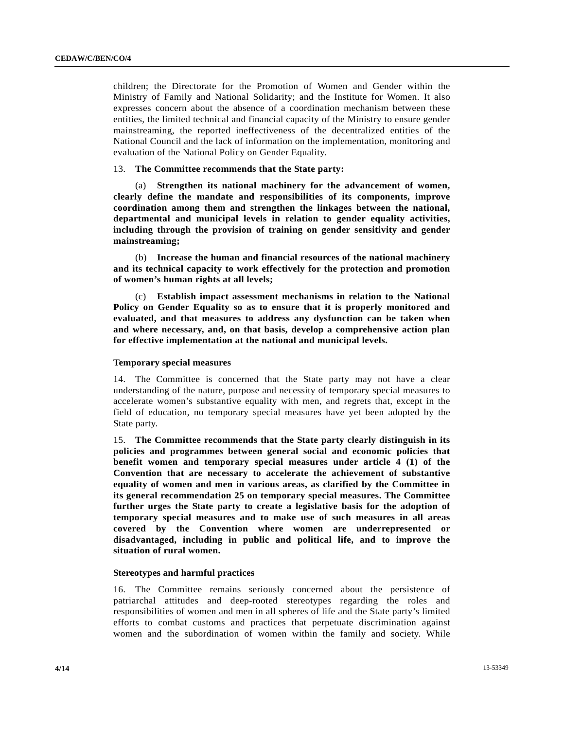children; the Directorate for the Promotion of Women and Gender within the Ministry of Family and National Solidarity; and the Institute for Women. It also expresses concern about the absence of a coordination mechanism between these entities, the limited technical and financial capacity of the Ministry to ensure gender mainstreaming, the reported ineffectiveness of the decentralized entities of the National Council and the lack of information on the implementation, monitoring and evaluation of the National Policy on Gender Equality.

## 13. **The Committee recommends that the State party:**

 (a) **Strengthen its national machinery for the advancement of women, clearly define the mandate and responsibilities of its components, improve coordination among them and strengthen the linkages between the national, departmental and municipal levels in relation to gender equality activities, including through the provision of training on gender sensitivity and gender mainstreaming;** 

 (b) **Increase the human and financial resources of the national machinery and its technical capacity to work effectively for the protection and promotion of women's human rights at all levels;** 

 (c) **Establish impact assessment mechanisms in relation to the National Policy on Gender Equality so as to ensure that it is properly monitored and evaluated, and that measures to address any dysfunction can be taken when and where necessary, and, on that basis, develop a comprehensive action plan for effective implementation at the national and municipal levels.** 

## **Temporary special measures**

14. The Committee is concerned that the State party may not have a clear understanding of the nature, purpose and necessity of temporary special measures to accelerate women's substantive equality with men, and regrets that, except in the field of education, no temporary special measures have yet been adopted by the State party.

15. **The Committee recommends that the State party clearly distinguish in its policies and programmes between general social and economic policies that benefit women and temporary special measures under article 4 (1) of the Convention that are necessary to accelerate the achievement of substantive equality of women and men in various areas, as clarified by the Committee in its general recommendation 25 on temporary special measures. The Committee further urges the State party to create a legislative basis for the adoption of temporary special measures and to make use of such measures in all areas covered by the Convention where women are underrepresented or disadvantaged, including in public and political life, and to improve the situation of rural women.** 

#### **Stereotypes and harmful practices**

16. The Committee remains seriously concerned about the persistence of patriarchal attitudes and deep-rooted stereotypes regarding the roles and responsibilities of women and men in all spheres of life and the State party's limited efforts to combat customs and practices that perpetuate discrimination against women and the subordination of women within the family and society. While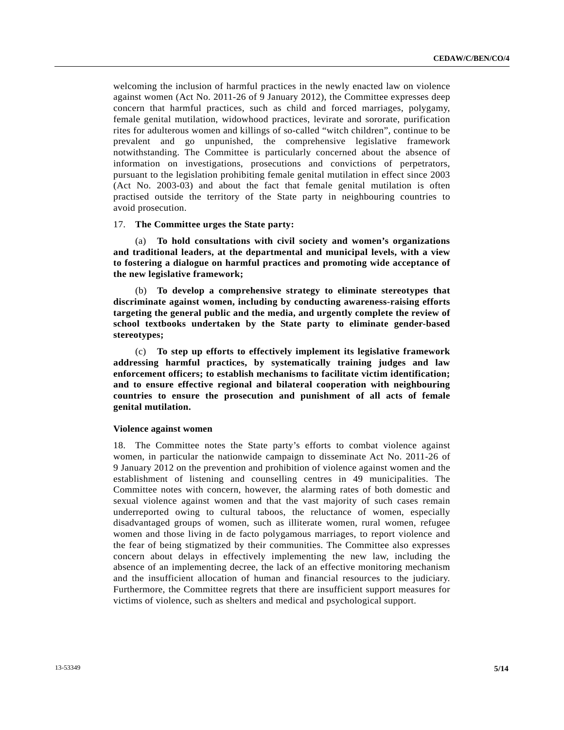welcoming the inclusion of harmful practices in the newly enacted law on violence against women (Act No. 2011-26 of 9 January 2012), the Committee expresses deep concern that harmful practices, such as child and forced marriages, polygamy, female genital mutilation, widowhood practices, levirate and sororate, purification rites for adulterous women and killings of so-called "witch children", continue to be prevalent and go unpunished, the comprehensive legislative framework notwithstanding. The Committee is particularly concerned about the absence of information on investigations, prosecutions and convictions of perpetrators, pursuant to the legislation prohibiting female genital mutilation in effect since 2003 (Act No. 2003-03) and about the fact that female genital mutilation is often practised outside the territory of the State party in neighbouring countries to avoid prosecution.

17. **The Committee urges the State party:** 

 (a) **To hold consultations with civil society and women's organizations and traditional leaders, at the departmental and municipal levels, with a view to fostering a dialogue on harmful practices and promoting wide acceptance of the new legislative framework;** 

 (b) **To develop a comprehensive strategy to eliminate stereotypes that discriminate against women, including by conducting awareness-raising efforts targeting the general public and the media, and urgently complete the review of school textbooks undertaken by the State party to eliminate gender-based stereotypes;** 

 (c) **To step up efforts to effectively implement its legislative framework addressing harmful practices, by systematically training judges and law enforcement officers; to establish mechanisms to facilitate victim identification; and to ensure effective regional and bilateral cooperation with neighbouring countries to ensure the prosecution and punishment of all acts of female genital mutilation.** 

#### **Violence against women**

18. The Committee notes the State party's efforts to combat violence against women, in particular the nationwide campaign to disseminate Act No. 2011-26 of 9 January 2012 on the prevention and prohibition of violence against women and the establishment of listening and counselling centres in 49 municipalities. The Committee notes with concern, however, the alarming rates of both domestic and sexual violence against women and that the vast majority of such cases remain underreported owing to cultural taboos, the reluctance of women, especially disadvantaged groups of women, such as illiterate women, rural women, refugee women and those living in de facto polygamous marriages, to report violence and the fear of being stigmatized by their communities. The Committee also expresses concern about delays in effectively implementing the new law, including the absence of an implementing decree, the lack of an effective monitoring mechanism and the insufficient allocation of human and financial resources to the judiciary. Furthermore, the Committee regrets that there are insufficient support measures for victims of violence, such as shelters and medical and psychological support.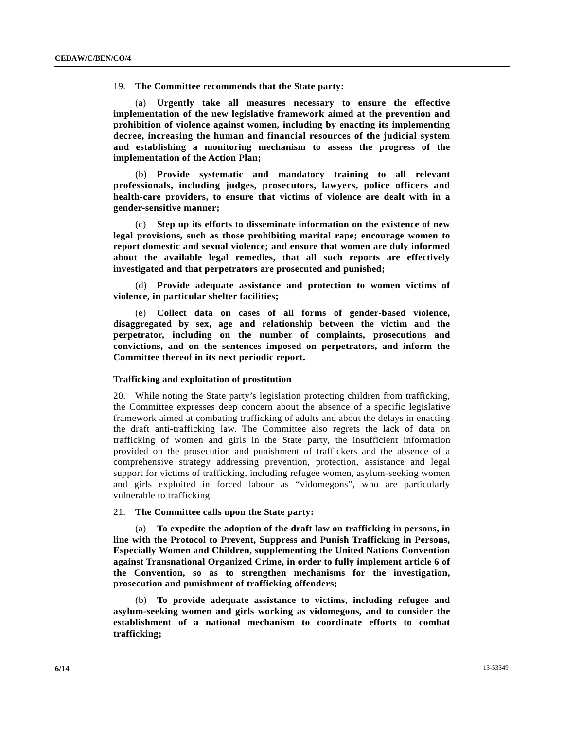19. **The Committee recommends that the State party:** 

 (a) **Urgently take all measures necessary to ensure the effective implementation of the new legislative framework aimed at the prevention and prohibition of violence against women, including by enacting its implementing decree, increasing the human and financial resources of the judicial system and establishing a monitoring mechanism to assess the progress of the implementation of the Action Plan;** 

 (b) **Provide systematic and mandatory training to all relevant professionals, including judges, prosecutors, lawyers, police officers and health-care providers, to ensure that victims of violence are dealt with in a gender-sensitive manner;** 

 (c) **Step up its efforts to disseminate information on the existence of new legal provisions, such as those prohibiting marital rape; encourage women to report domestic and sexual violence; and ensure that women are duly informed about the available legal remedies, that all such reports are effectively investigated and that perpetrators are prosecuted and punished;** 

 (d) **Provide adequate assistance and protection to women victims of violence, in particular shelter facilities;** 

 (e) **Collect data on cases of all forms of gender-based violence, disaggregated by sex, age and relationship between the victim and the perpetrator, including on the number of complaints, prosecutions and convictions, and on the sentences imposed on perpetrators, and inform the Committee thereof in its next periodic report.** 

#### **Trafficking and exploitation of prostitution**

20. While noting the State party's legislation protecting children from trafficking, the Committee expresses deep concern about the absence of a specific legislative framework aimed at combating trafficking of adults and about the delays in enacting the draft anti-trafficking law. The Committee also regrets the lack of data on trafficking of women and girls in the State party, the insufficient information provided on the prosecution and punishment of traffickers and the absence of a comprehensive strategy addressing prevention, protection, assistance and legal support for victims of trafficking, including refugee women, asylum-seeking women and girls exploited in forced labour as "vidomegons", who are particularly vulnerable to trafficking.

## 21. **The Committee calls upon the State party:**

 (a) **To expedite the adoption of the draft law on trafficking in persons, in line with the Protocol to Prevent, Suppress and Punish Trafficking in Persons, Especially Women and Children, supplementing the United Nations Convention against Transnational Organized Crime, in order to fully implement article 6 of the Convention, so as to strengthen mechanisms for the investigation, prosecution and punishment of trafficking offenders;** 

 (b) **To provide adequate assistance to victims, including refugee and asylum-seeking women and girls working as vidomegons, and to consider the establishment of a national mechanism to coordinate efforts to combat trafficking;**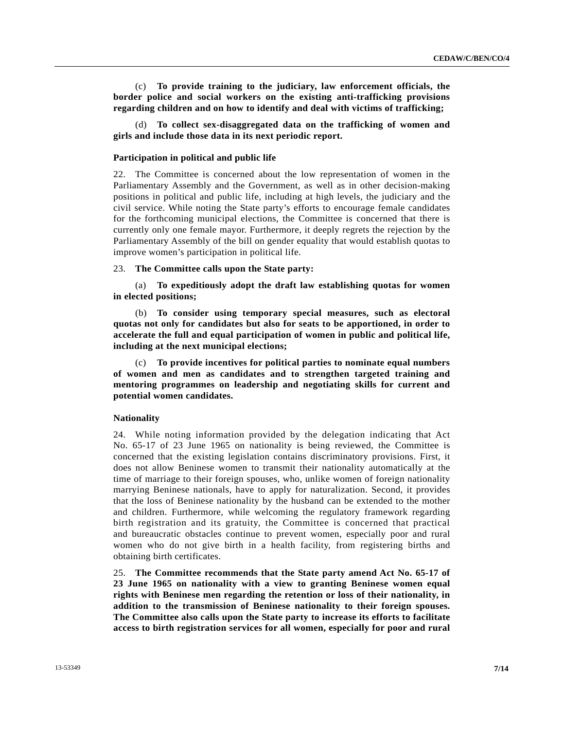(c) **To provide training to the judiciary, law enforcement officials, the border police and social workers on the existing anti-trafficking provisions regarding children and on how to identify and deal with victims of trafficking;** 

 (d) **To collect sex-disaggregated data on the trafficking of women and girls and include those data in its next periodic report.** 

## **Participation in political and public life**

22. The Committee is concerned about the low representation of women in the Parliamentary Assembly and the Government, as well as in other decision-making positions in political and public life, including at high levels, the judiciary and the civil service. While noting the State party's efforts to encourage female candidates for the forthcoming municipal elections, the Committee is concerned that there is currently only one female mayor. Furthermore, it deeply regrets the rejection by the Parliamentary Assembly of the bill on gender equality that would establish quotas to improve women's participation in political life.

## 23. **The Committee calls upon the State party:**

 (a) **To expeditiously adopt the draft law establishing quotas for women in elected positions;** 

 (b) **To consider using temporary special measures, such as electoral quotas not only for candidates but also for seats to be apportioned, in order to accelerate the full and equal participation of women in public and political life, including at the next municipal elections;** 

 (c) **To provide incentives for political parties to nominate equal numbers of women and men as candidates and to strengthen targeted training and mentoring programmes on leadership and negotiating skills for current and potential women candidates.** 

#### **Nationality**

24. While noting information provided by the delegation indicating that Act No. 65-17 of 23 June 1965 on nationality is being reviewed, the Committee is concerned that the existing legislation contains discriminatory provisions. First, it does not allow Beninese women to transmit their nationality automatically at the time of marriage to their foreign spouses, who, unlike women of foreign nationality marrying Beninese nationals, have to apply for naturalization. Second, it provides that the loss of Beninese nationality by the husband can be extended to the mother and children. Furthermore, while welcoming the regulatory framework regarding birth registration and its gratuity, the Committee is concerned that practical and bureaucratic obstacles continue to prevent women, especially poor and rural women who do not give birth in a health facility, from registering births and obtaining birth certificates.

25. **The Committee recommends that the State party amend Act No. 65-17 of 23 June 1965 on nationality with a view to granting Beninese women equal rights with Beninese men regarding the retention or loss of their nationality, in addition to the transmission of Beninese nationality to their foreign spouses. The Committee also calls upon the State party to increase its efforts to facilitate access to birth registration services for all women, especially for poor and rural**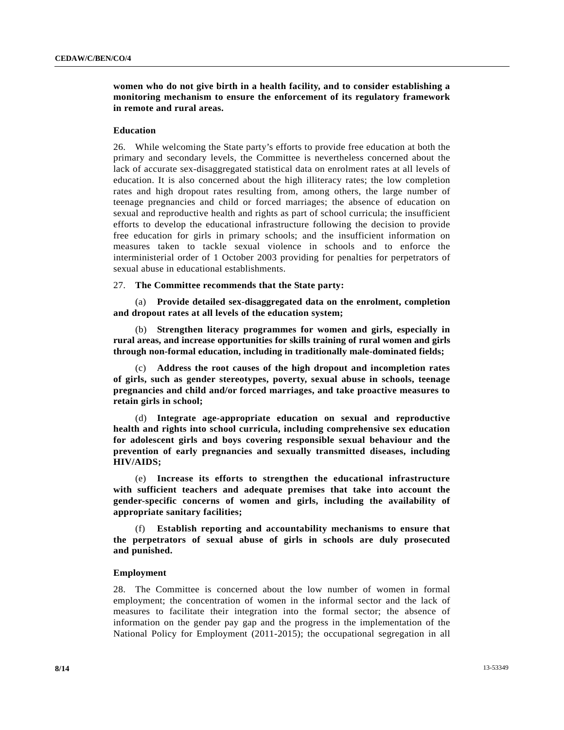## **women who do not give birth in a health facility, and to consider establishing a monitoring mechanism to ensure the enforcement of its regulatory framework in remote and rural areas.**

## **Education**

26. While welcoming the State party's efforts to provide free education at both the primary and secondary levels, the Committee is nevertheless concerned about the lack of accurate sex-disaggregated statistical data on enrolment rates at all levels of education. It is also concerned about the high illiteracy rates; the low completion rates and high dropout rates resulting from, among others, the large number of teenage pregnancies and child or forced marriages; the absence of education on sexual and reproductive health and rights as part of school curricula; the insufficient efforts to develop the educational infrastructure following the decision to provide free education for girls in primary schools; and the insufficient information on measures taken to tackle sexual violence in schools and to enforce the interministerial order of 1 October 2003 providing for penalties for perpetrators of sexual abuse in educational establishments.

### 27. **The Committee recommends that the State party:**

 (a) **Provide detailed sex-disaggregated data on the enrolment, completion and dropout rates at all levels of the education system;** 

 (b) **Strengthen literacy programmes for women and girls, especially in rural areas, and increase opportunities for skills training of rural women and girls through non-formal education, including in traditionally male-dominated fields;** 

 (c) **Address the root causes of the high dropout and incompletion rates of girls, such as gender stereotypes, poverty, sexual abuse in schools, teenage pregnancies and child and/or forced marriages, and take proactive measures to retain girls in school;** 

 (d) **Integrate age-appropriate education on sexual and reproductive health and rights into school curricula, including comprehensive sex education for adolescent girls and boys covering responsible sexual behaviour and the prevention of early pregnancies and sexually transmitted diseases, including HIV/AIDS;** 

 (e) **Increase its efforts to strengthen the educational infrastructure with sufficient teachers and adequate premises that take into account the gender-specific concerns of women and girls, including the availability of appropriate sanitary facilities;** 

 (f) **Establish reporting and accountability mechanisms to ensure that the perpetrators of sexual abuse of girls in schools are duly prosecuted and punished.** 

#### **Employment**

28. The Committee is concerned about the low number of women in formal employment; the concentration of women in the informal sector and the lack of measures to facilitate their integration into the formal sector; the absence of information on the gender pay gap and the progress in the implementation of the National Policy for Employment (2011-2015); the occupational segregation in all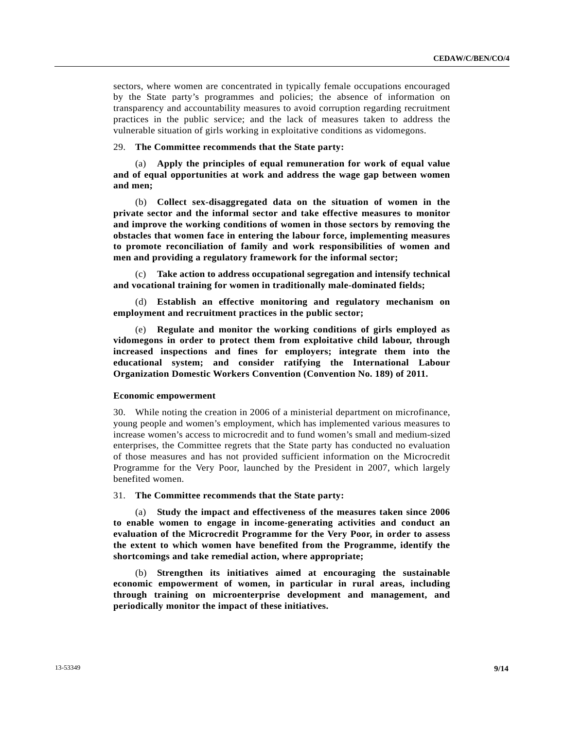sectors, where women are concentrated in typically female occupations encouraged by the State party's programmes and policies; the absence of information on transparency and accountability measures to avoid corruption regarding recruitment practices in the public service; and the lack of measures taken to address the vulnerable situation of girls working in exploitative conditions as vidomegons.

29. **The Committee recommends that the State party:** 

 (a) **Apply the principles of equal remuneration for work of equal value and of equal opportunities at work and address the wage gap between women and men;** 

 (b) **Collect sex-disaggregated data on the situation of women in the private sector and the informal sector and take effective measures to monitor and improve the working conditions of women in those sectors by removing the obstacles that women face in entering the labour force, implementing measures to promote reconciliation of family and work responsibilities of women and men and providing a regulatory framework for the informal sector;** 

Take action to address occupational segregation and intensify technical **and vocational training for women in traditionally male-dominated fields;** 

 (d) **Establish an effective monitoring and regulatory mechanism on employment and recruitment practices in the public sector;** 

 (e) **Regulate and monitor the working conditions of girls employed as vidomegons in order to protect them from exploitative child labour, through increased inspections and fines for employers; integrate them into the educational system; and consider ratifying the International Labour Organization Domestic Workers Convention (Convention No. 189) of 2011.** 

## **Economic empowerment**

30. While noting the creation in 2006 of a ministerial department on microfinance, young people and women's employment, which has implemented various measures to increase women's access to microcredit and to fund women's small and medium-sized enterprises, the Committee regrets that the State party has conducted no evaluation of those measures and has not provided sufficient information on the Microcredit Programme for the Very Poor, launched by the President in 2007, which largely benefited women.

31. **The Committee recommends that the State party:** 

 (a) **Study the impact and effectiveness of the measures taken since 2006 to enable women to engage in income-generating activities and conduct an evaluation of the Microcredit Programme for the Very Poor, in order to assess the extent to which women have benefited from the Programme, identify the shortcomings and take remedial action, where appropriate;** 

 (b) **Strengthen its initiatives aimed at encouraging the sustainable economic empowerment of women, in particular in rural areas, including through training on microenterprise development and management, and periodically monitor the impact of these initiatives.**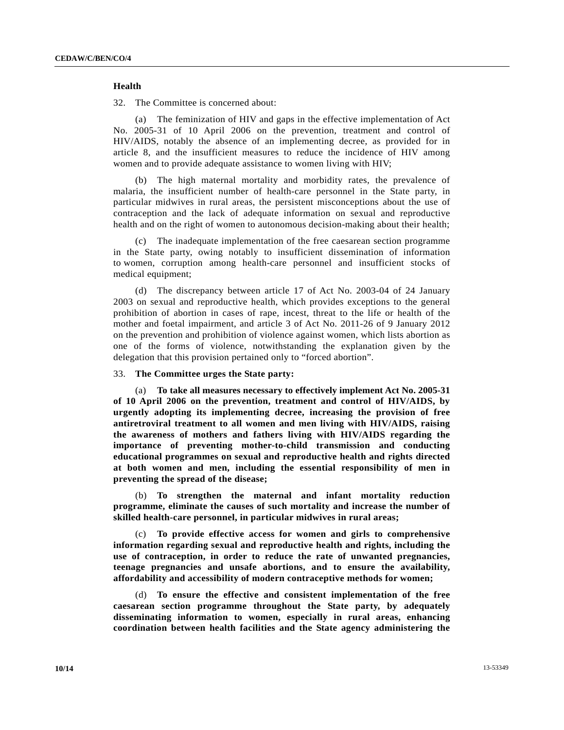## **Health**

32. The Committee is concerned about:

 (a) The feminization of HIV and gaps in the effective implementation of Act No. 2005-31 of 10 April 2006 on the prevention, treatment and control of HIV/AIDS, notably the absence of an implementing decree, as provided for in article 8, and the insufficient measures to reduce the incidence of HIV among women and to provide adequate assistance to women living with HIV;

 (b) The high maternal mortality and morbidity rates, the prevalence of malaria, the insufficient number of health-care personnel in the State party, in particular midwives in rural areas, the persistent misconceptions about the use of contraception and the lack of adequate information on sexual and reproductive health and on the right of women to autonomous decision-making about their health;

 (c) The inadequate implementation of the free caesarean section programme in the State party, owing notably to insufficient dissemination of information to women, corruption among health-care personnel and insufficient stocks of medical equipment;

 (d) The discrepancy between article 17 of Act No. 2003-04 of 24 January 2003 on sexual and reproductive health, which provides exceptions to the general prohibition of abortion in cases of rape, incest, threat to the life or health of the mother and foetal impairment, and article 3 of Act No. 2011-26 of 9 January 2012 on the prevention and prohibition of violence against women, which lists abortion as one of the forms of violence, notwithstanding the explanation given by the delegation that this provision pertained only to "forced abortion".

### 33. **The Committee urges the State party:**

 (a) **To take all measures necessary to effectively implement Act No. 2005-31 of 10 April 2006 on the prevention, treatment and control of HIV/AIDS, by urgently adopting its implementing decree, increasing the provision of free antiretroviral treatment to all women and men living with HIV/AIDS, raising the awareness of mothers and fathers living with HIV/AIDS regarding the importance of preventing mother-to-child transmission and conducting educational programmes on sexual and reproductive health and rights directed at both women and men, including the essential responsibility of men in preventing the spread of the disease;** 

 (b) **To strengthen the maternal and infant mortality reduction programme, eliminate the causes of such mortality and increase the number of skilled health-care personnel, in particular midwives in rural areas;** 

 (c) **To provide effective access for women and girls to comprehensive information regarding sexual and reproductive health and rights, including the use of contraception, in order to reduce the rate of unwanted pregnancies, teenage pregnancies and unsafe abortions, and to ensure the availability, affordability and accessibility of modern contraceptive methods for women;** 

 (d) **To ensure the effective and consistent implementation of the free caesarean section programme throughout the State party, by adequately disseminating information to women, especially in rural areas, enhancing coordination between health facilities and the State agency administering the**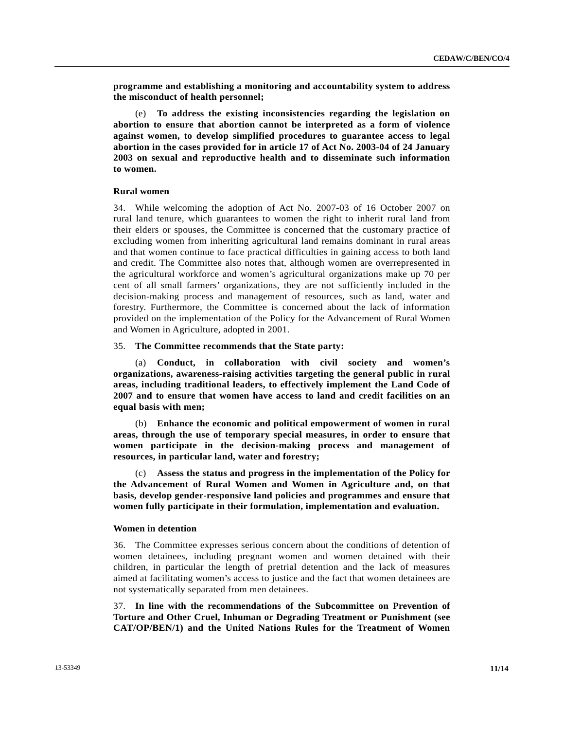**programme and establishing a monitoring and accountability system to address the misconduct of health personnel;** 

 (e) **To address the existing inconsistencies regarding the legislation on abortion to ensure that abortion cannot be interpreted as a form of violence against women, to develop simplified procedures to guarantee access to legal abortion in the cases provided for in article 17 of Act No. 2003-04 of 24 January 2003 on sexual and reproductive health and to disseminate such information to women.** 

## **Rural women**

34. While welcoming the adoption of Act No. 2007-03 of 16 October 2007 on rural land tenure, which guarantees to women the right to inherit rural land from their elders or spouses, the Committee is concerned that the customary practice of excluding women from inheriting agricultural land remains dominant in rural areas and that women continue to face practical difficulties in gaining access to both land and credit. The Committee also notes that, although women are overrepresented in the agricultural workforce and women's agricultural organizations make up 70 per cent of all small farmers' organizations, they are not sufficiently included in the decision-making process and management of resources, such as land, water and forestry. Furthermore, the Committee is concerned about the lack of information provided on the implementation of the Policy for the Advancement of Rural Women and Women in Agriculture, adopted in 2001.

35. **The Committee recommends that the State party:** 

 (a) **Conduct, in collaboration with civil society and women's organizations, awareness-raising activities targeting the general public in rural areas, including traditional leaders, to effectively implement the Land Code of 2007 and to ensure that women have access to land and credit facilities on an equal basis with men;** 

 (b) **Enhance the economic and political empowerment of women in rural areas, through the use of temporary special measures, in order to ensure that women participate in the decision-making process and management of resources, in particular land, water and forestry;** 

 (c) **Assess the status and progress in the implementation of the Policy for the Advancement of Rural Women and Women in Agriculture and, on that basis, develop gender-responsive land policies and programmes and ensure that women fully participate in their formulation, implementation and evaluation.** 

#### **Women in detention**

36. The Committee expresses serious concern about the conditions of detention of women detainees, including pregnant women and women detained with their children, in particular the length of pretrial detention and the lack of measures aimed at facilitating women's access to justice and the fact that women detainees are not systematically separated from men detainees.

37. **In line with the recommendations of the Subcommittee on Prevention of Torture and Other Cruel, Inhuman or Degrading Treatment or Punishment (see CAT/OP/BEN/1) and the United Nations Rules for the Treatment of Women**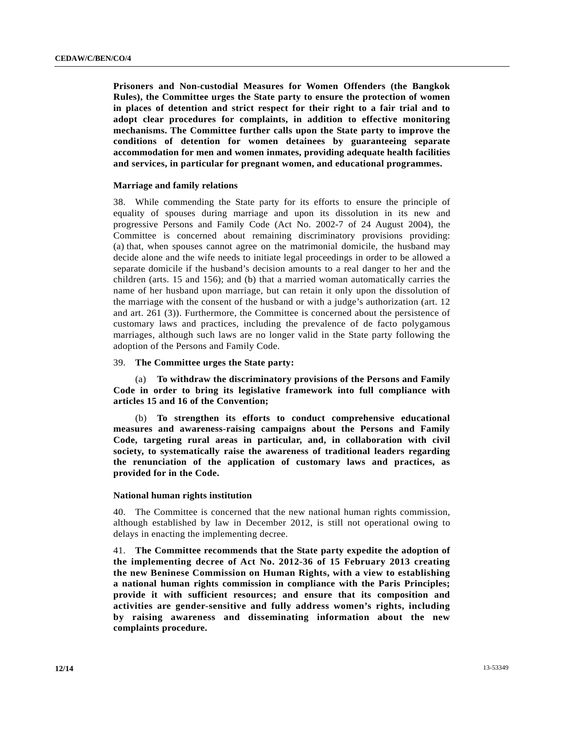**Prisoners and Non-custodial Measures for Women Offenders (the Bangkok Rules), the Committee urges the State party to ensure the protection of women in places of detention and strict respect for their right to a fair trial and to adopt clear procedures for complaints, in addition to effective monitoring mechanisms. The Committee further calls upon the State party to improve the conditions of detention for women detainees by guaranteeing separate accommodation for men and women inmates, providing adequate health facilities and services, in particular for pregnant women, and educational programmes.** 

## **Marriage and family relations**

38. While commending the State party for its efforts to ensure the principle of equality of spouses during marriage and upon its dissolution in its new and progressive Persons and Family Code (Act No. 2002-7 of 24 August 2004), the Committee is concerned about remaining discriminatory provisions providing: (a) that, when spouses cannot agree on the matrimonial domicile, the husband may decide alone and the wife needs to initiate legal proceedings in order to be allowed a separate domicile if the husband's decision amounts to a real danger to her and the children (arts. 15 and 156); and (b) that a married woman automatically carries the name of her husband upon marriage, but can retain it only upon the dissolution of the marriage with the consent of the husband or with a judge's authorization (art. 12 and art. 261 (3)). Furthermore, the Committee is concerned about the persistence of customary laws and practices, including the prevalence of de facto polygamous marriages, although such laws are no longer valid in the State party following the adoption of the Persons and Family Code.

## 39. **The Committee urges the State party:**

 (a) **To withdraw the discriminatory provisions of the Persons and Family Code in order to bring its legislative framework into full compliance with articles 15 and 16 of the Convention;** 

 (b) **To strengthen its efforts to conduct comprehensive educational measures and awareness-raising campaigns about the Persons and Family Code, targeting rural areas in particular, and, in collaboration with civil society, to systematically raise the awareness of traditional leaders regarding the renunciation of the application of customary laws and practices, as provided for in the Code.** 

#### **National human rights institution**

40. The Committee is concerned that the new national human rights commission, although established by law in December 2012, is still not operational owing to delays in enacting the implementing decree.

41. **The Committee recommends that the State party expedite the adoption of the implementing decree of Act No. 2012-36 of 15 February 2013 creating the new Beninese Commission on Human Rights, with a view to establishing a national human rights commission in compliance with the Paris Principles; provide it with sufficient resources; and ensure that its composition and activities are gender-sensitive and fully address women's rights, including by raising awareness and disseminating information about the new complaints procedure.**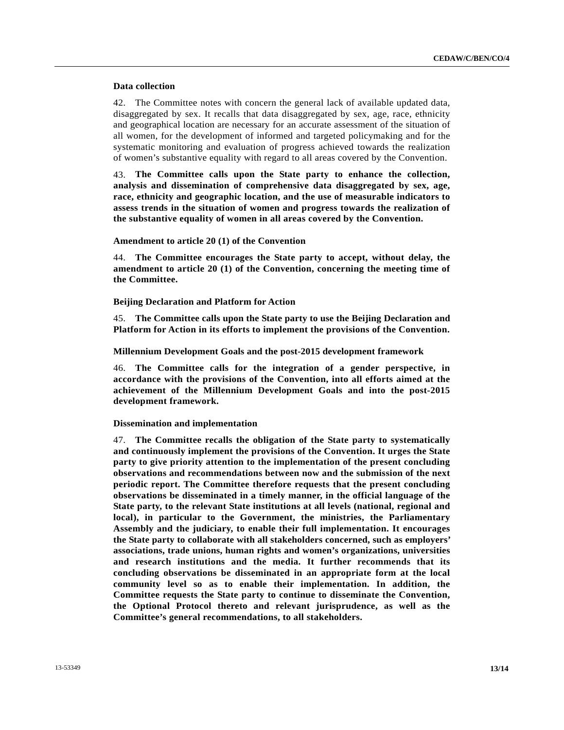## **Data collection**

42. The Committee notes with concern the general lack of available updated data, disaggregated by sex. It recalls that data disaggregated by sex, age, race, ethnicity and geographical location are necessary for an accurate assessment of the situation of all women, for the development of informed and targeted policymaking and for the systematic monitoring and evaluation of progress achieved towards the realization of women's substantive equality with regard to all areas covered by the Convention.

43. **The Committee calls upon the State party to enhance the collection, analysis and dissemination of comprehensive data disaggregated by sex, age, race, ethnicity and geographic location, and the use of measurable indicators to assess trends in the situation of women and progress towards the realization of the substantive equality of women in all areas covered by the Convention.** 

## **Amendment to article 20 (1) of the Convention**

44. **The Committee encourages the State party to accept, without delay, the amendment to article 20 (1) of the Convention, concerning the meeting time of the Committee.** 

 **Beijing Declaration and Platform for Action** 

45. **The Committee calls upon the State party to use the Beijing Declaration and Platform for Action in its efforts to implement the provisions of the Convention.** 

 **Millennium Development Goals and the post-2015 development framework** 

46. **The Committee calls for the integration of a gender perspective, in accordance with the provisions of the Convention, into all efforts aimed at the achievement of the Millennium Development Goals and into the post-2015 development framework.** 

 **Dissemination and implementation** 

47. **The Committee recalls the obligation of the State party to systematically and continuously implement the provisions of the Convention. It urges the State party to give priority attention to the implementation of the present concluding observations and recommendations between now and the submission of the next periodic report. The Committee therefore requests that the present concluding observations be disseminated in a timely manner, in the official language of the State party, to the relevant State institutions at all levels (national, regional and local), in particular to the Government, the ministries, the Parliamentary Assembly and the judiciary, to enable their full implementation. It encourages the State party to collaborate with all stakeholders concerned, such as employers' associations, trade unions, human rights and women's organizations, universities and research institutions and the media. It further recommends that its concluding observations be disseminated in an appropriate form at the local community level so as to enable their implementation. In addition, the Committee requests the State party to continue to disseminate the Convention, the Optional Protocol thereto and relevant jurisprudence, as well as the Committee's general recommendations, to all stakeholders.**